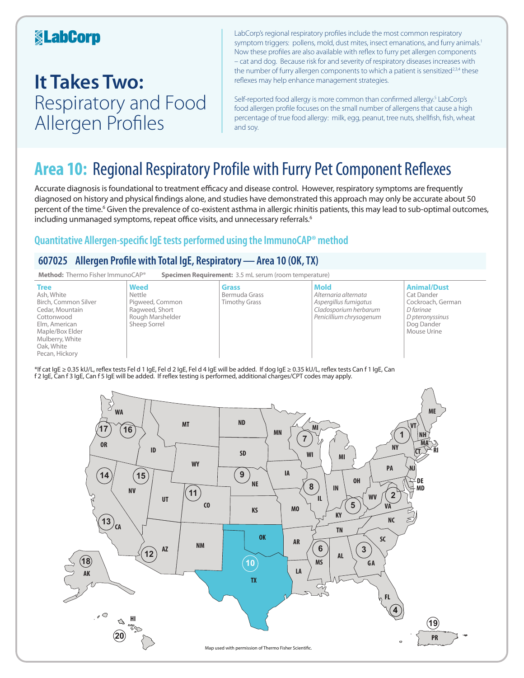### **KabCorp**

## **It Takes Two:**  Respiratory and Food Allergen Profiles

LabCorp's regional respiratory profiles include the most common respiratory symptom triggers: pollens, mold, dust mites, insect emanations, and furry animals.<sup>1</sup> Now these profiles are also available with reflex to furry pet allergen components – cat and dog. Because risk for and severity of respiratory diseases increases with the number of furry allergen components to which a patient is sensitized<sup>2,3,4</sup> these reflexes may help enhance management strategies.

Self-reported food allergy is more common than confirmed allergy.<sup>5</sup> LabCorp's food allergen profile focuses on the small number of allergens that cause a high percentage of true food allergy: milk, egg, peanut, tree nuts, shellfish, fish, wheat and soy.

## **Area 10:** Regional Respiratory Profile with Furry Pet Component Reflexes

Accurate diagnosis is foundational to treatment efficacy and disease control. However, respiratory symptoms are frequently diagnosed on history and physical findings alone, and studies have demonstrated this approach may only be accurate about 50 percent of the time.<sup>6</sup> Given the prevalence of co-existent asthma in allergic rhinitis patients, this may lead to sub-optimal outcomes, including unmanaged symptoms, repeat office visits, and unnecessary referrals.<sup>6</sup>

### **Quantitative Allergen-specific IgE tests performed using the ImmunoCAP® method**

### **607025 Allergen Profile with Total IgE, Respiratory—Area 10 (OK, TX)**



\*If cat IgE ≥ 0.35 kU/L, reflex tests Fel d 1 IgE, Fel d 2 IgE, Fel d 4 IgE will be added. If dog IgE ≥ 0.35 kU/L, reflex tests Can f 1 IgE, Can f 2 IgE, Can f 3 IgE, Can f 5 IgE will be added. If reflex testing is performed, additional charges/CPT codes may apply.